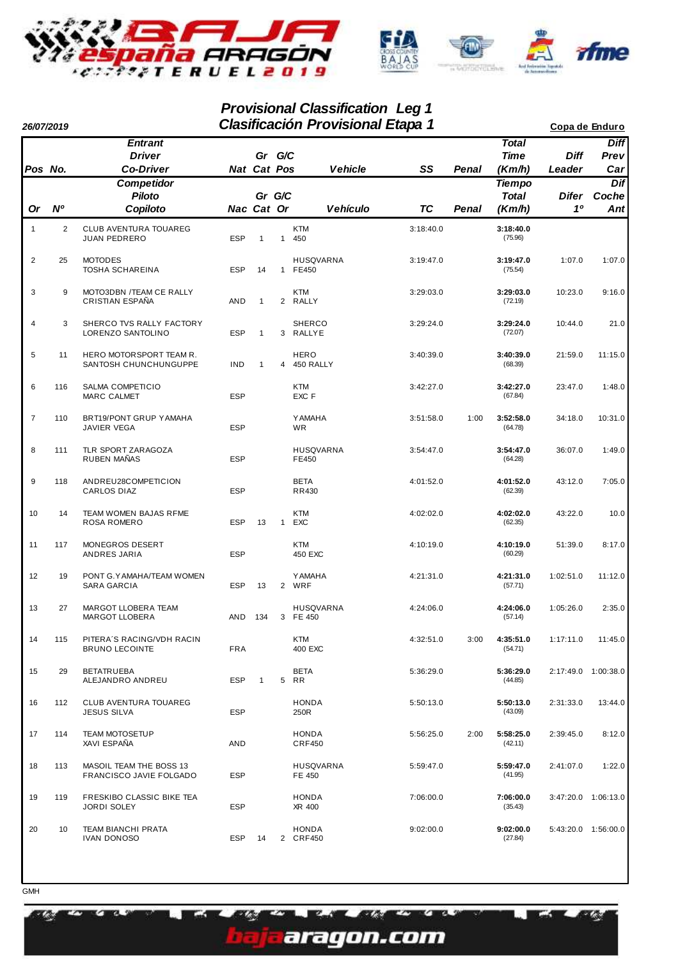

## **Provisional Classification Leg 1**

| 26/07/2019     |                |                                                     | <b>Clasificación Provisional Etapa 1</b> |                       |                |                               |           |              |                                         |                       | Copa de Enduro             |
|----------------|----------------|-----------------------------------------------------|------------------------------------------|-----------------------|----------------|-------------------------------|-----------|--------------|-----------------------------------------|-----------------------|----------------------------|
| Pos No.        |                | <b>Entrant</b><br><b>Driver</b><br><b>Co-Driver</b> |                                          | Gr G/C<br>Nat Cat Pos |                | <b>Vehicle</b>                | SS        | Penal        | <b>Total</b><br><b>Time</b><br>(Km/h)   | <b>Diff</b><br>Leader | <b>Diff</b><br>Prev<br>Car |
| <b>Or</b>      | N <sup>o</sup> | <b>Competidor</b><br><b>Piloto</b><br>Copiloto      |                                          | Gr G/C<br>Nac Cat Or  |                | Vehículo                      | <b>TC</b> | <b>Penal</b> | <b>Tiempo</b><br><b>Total</b><br>(Km/h) | <b>Difer</b><br>10    | Dif<br>Coche<br>Ant        |
| $\mathbf{1}$   | 2              | CLUB AVENTURA TOUAREG<br><b>JUAN PEDRERO</b>        | <b>ESP</b>                               | $\mathbf{1}$          | $\mathbf{1}$   | <b>KTM</b><br>450             | 3:18:40.0 |              | 3:18:40.0<br>(75.96)                    |                       |                            |
| $\overline{2}$ | 25             | <b>MOTODES</b><br>TOSHA SCHAREINA                   | <b>ESP</b>                               | 14                    | 1              | <b>HUSQVARNA</b><br>FE450     | 3:19:47.0 |              | 3:19:47.0<br>(75.54)                    | 1:07.0                | 1:07.0                     |
| 3              | 9              | MOTO3DBN /TEAM CE RALLY<br>CRISTIAN ESPAÑA          | <b>AND</b>                               | $\mathbf{1}$          |                | <b>KTM</b><br>2 RALLY         | 3:29:03.0 |              | 3:29:03.0<br>(72.19)                    | 10:23.0               | 9:16.0                     |
| $\overline{4}$ | 3              | SHERCO TVS RALLY FACTORY<br>LORENZO SANTOLINO       | <b>ESP</b>                               | 1                     |                | <b>SHERCO</b><br>3 RALLYE     | 3:29:24.0 |              | 3:29:24.0<br>(72.07)                    | 10:44.0               | 21.0                       |
| 5              | 11             | HERO MOTORSPORT TEAM R.<br>SANTOSH CHUNCHUNGUPPE    | <b>IND</b>                               | $\mathbf{1}$          | $\overline{4}$ | <b>HERO</b><br>450 RALLY      | 3:40:39.0 |              | 3:40:39.0<br>(68.39)                    | 21:59.0               | 11:15.0                    |
| 6              | 116            | SALMA COMPETICIO<br><b>MARC CALMET</b>              | <b>ESP</b>                               |                       |                | <b>KTM</b><br>EXC F           | 3:42:27.0 |              | 3:42:27.0<br>(67.84)                    | 23:47.0               | 1:48.0                     |
| $\overline{7}$ | 110            | BRT19/PONT GRUP YAMAHA<br><b>JAVIER VEGA</b>        | <b>ESP</b>                               |                       |                | <b>YAMAHA</b><br><b>WR</b>    | 3:51:58.0 | 1:00         | 3:52:58.0<br>(64.78)                    | 34:18.0               | 10:31.0                    |
| 8              | 111            | TLR SPORT ZARAGOZA<br>RUBEN MAÑAS                   | <b>ESP</b>                               |                       |                | HUSQVARNA<br>FE450            | 3:54:47.0 |              | 3:54:47.0<br>(64.28)                    | 36:07.0               | 1:49.0                     |
| 9              | 118            | ANDREU28COMPETICION<br>CARLOS DIAZ                  | <b>ESP</b>                               |                       |                | <b>BETA</b><br><b>RR430</b>   | 4:01:52.0 |              | 4:01:52.0<br>(62.39)                    | 43:12.0               | 7:05.0                     |
| 10             | 14             | TEAM WOMEN BAJAS RFME<br>ROSA ROMERO                | <b>ESP</b>                               | 13                    | $\mathbf{1}$   | <b>KTM</b><br>EXC             | 4:02:02.0 |              | 4:02:02.0<br>(62.35)                    | 43:22.0               | 10.0                       |
| 11             | 117            | MONEGROS DESERT<br>ANDRES JARIA                     | <b>ESP</b>                               |                       |                | <b>KTM</b><br>450 EXC         | 4:10:19.0 |              | 4:10:19.0<br>(60.29)                    | 51:39.0               | 8:17.0                     |
| 12             | 19             | PONT G.YAMAHA/TEAM WOMEN<br>SARA GARCIA             | <b>ESP</b>                               | 13                    |                | <b>YAMAHA</b><br>2 WRF        | 4:21:31.0 |              | 4:21:31.0<br>(57.71)                    | 1:02:51.0             | 11:12.0                    |
| 13             | 27             | MARGOT LLOBERA TEAM<br><b>MARGOT LLOBERA</b>        | AND                                      | 134                   |                | <b>HUSQVARNA</b><br>3 FE 450  | 4:24:06.0 |              | 4:24:06.0<br>(57.14)                    | 1:05:26.0             | 2:35.0                     |
| 14             | 115            | PITERA'S RACING/VDH RACIN<br><b>BRUNO LECOINTE</b>  | <b>FRA</b>                               |                       |                | <b>KTM</b><br>400 EXC         | 4:32:51.0 | 3:00         | 4:35:51.0<br>(54.71)                    | 1:17:11.0             | 11:45.0                    |
| 15             | 29             | <b>BETATRUEBA</b><br>ALEJANDRO ANDREU               | <b>ESP</b>                               | $\mathbf{1}$          |                | <b>BETA</b><br>5 RR           | 5:36:29.0 |              | 5:36:29.0<br>(44.85)                    |                       | 2:17:49.0 1:00:38.0        |
| 16             | 112            | CLUB AVENTURA TOUAREG<br>JESUS SILVA                | <b>ESP</b>                               |                       |                | <b>HONDA</b><br>250R          | 5:50:13.0 |              | 5:50:13.0<br>(43.09)                    | 2:31:33.0             | 13:44.0                    |
| 17             | 114            | <b>TEAM MOTOSETUP</b><br>XAVI ESPAÑA                | <b>AND</b>                               |                       |                | <b>HONDA</b><br><b>CRF450</b> | 5:56:25.0 | 2:00         | 5:58:25.0<br>(42.11)                    | 2:39:45.0             | 8:12.0                     |
| 18             | 113            | MASOIL TEAM THE BOSS 13<br>FRANCISCO JAVIE FOLGADO  | <b>ESP</b>                               |                       |                | <b>HUSQVARNA</b><br>FE 450    | 5:59:47.0 |              | 5:59:47.0<br>(41.95)                    | 2:41:07.0             | 1:22.0                     |
| 19             | 119            | FRESKIBO CLASSIC BIKE TEA<br>JORDI SOLEY            | <b>ESP</b>                               |                       |                | <b>HONDA</b><br>XR 400        | 7:06:00.0 |              | 7:06:00.0<br>(35.43)                    |                       | 3:47:20.0 1:06:13.0        |
| 20             | 10             | TEAM BIANCHI PRATA<br><b>IVAN DONOSO</b>            | <b>ESP</b>                               | 14                    |                | <b>HONDA</b><br>2 CRF450      | 9:02:00.0 |              | 9:02:00.0<br>(27.84)                    |                       | 5:43:20.0 1:56:00.0        |

ay.

m ye

Ŕ.

aragon.com

Z.

**GMH** 

a Z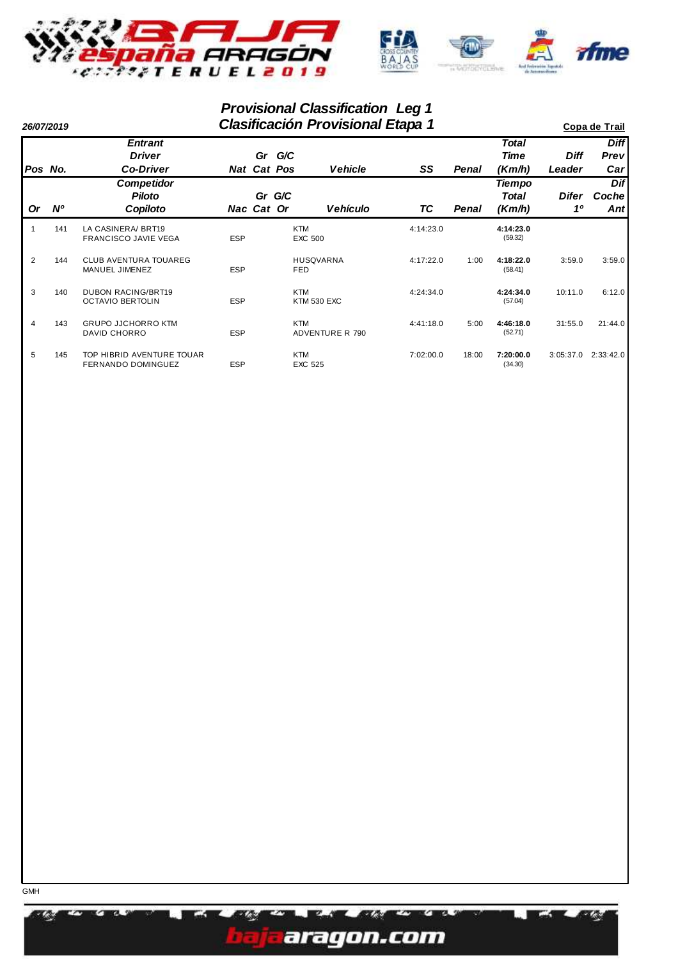

## **Provisional Classification Leg 1**

|                | 26/07/2019 |                                                      |            |            | Copa de Trail                |                        |           |       |                           |             |                     |
|----------------|------------|------------------------------------------------------|------------|------------|------------------------------|------------------------|-----------|-------|---------------------------|-------------|---------------------|
|                |            | <b>Entrant</b><br><b>Driver</b>                      |            | Gr         | G/C                          |                        |           |       | <b>Total</b><br>Time      | <b>Diff</b> | <b>Diff</b><br>Prev |
|                | Pos No.    | <b>Co-Driver</b>                                     |            |            | Nat Cat Pos                  | <b>Vehicle</b>         | SS        | Penal | (Km/h)                    | Leader      | Car                 |
| <b>Or</b>      | <b>N°</b>  | <b>Competidor</b><br>Piloto<br>Copiloto              |            | Nac Cat Or | Gr G/C                       | <b>Vehículo</b>        | TC        | Penal | Tiempo<br>Total<br>(Km/h) | Difer<br>10 | Dif<br>Coche<br>Ant |
|                | 141        | LA CASINERA/ BRT19<br><b>FRANCISCO JAVIE VEGA</b>    | <b>ESP</b> |            | <b>KTM</b><br><b>EXC 500</b> |                        | 4:14:23.0 |       | 4:14:23.0<br>(59.32)      |             |                     |
| 2              | 144        | <b>CLUB AVENTURA TOUAREG</b><br>MANUEL JIMENEZ       | <b>ESP</b> |            | FED                          | <b>HUSQVARNA</b>       | 4:17:22.0 | 1:00  | 4:18:22.0<br>(58.41)      | 3:59.0      | 3:59.0              |
| 3              | 140        | <b>DUBON RACING/BRT19</b><br><b>OCTAVIO BERTOLIN</b> | <b>ESP</b> |            | <b>KTM</b>                   | <b>KTM 530 EXC</b>     | 4:24:34.0 |       | 4:24:34.0<br>(57.04)      | 10:11.0     | 6:12.0              |
| $\overline{4}$ | 143        | <b>GRUPO JJCHORRO KTM</b><br><b>DAVID CHORRO</b>     | <b>ESP</b> |            | <b>KTM</b>                   | <b>ADVENTURE R 790</b> | 4:41:18.0 | 5:00  | 4:46:18.0<br>(52.71)      | 31:55.0     | 21:44.0             |
| 5              | 145        | TOP HIBRID AVENTURE TOUAR<br>FERNANDO DOMINGUEZ      | ESP        |            | <b>KTM</b><br><b>EXC 525</b> |                        | 7:02:00.0 | 18:00 | 7:20:00.0<br>(34.30)      | 3:05:37.0   | 2:33:42.0           |

a Ch

**ROM** 

EZ.

WA.

aragon.com

r m

٣n **PL-3**  ang.